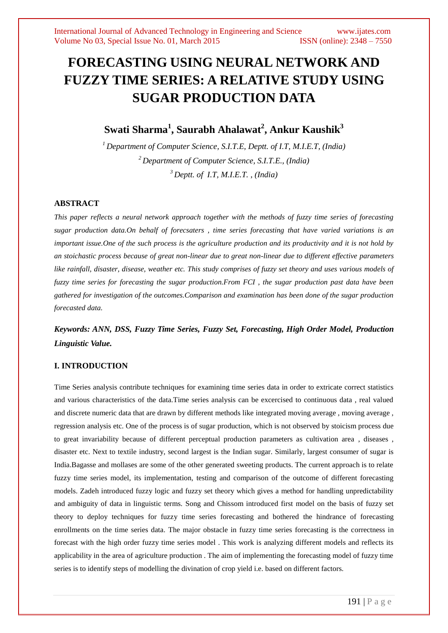# **FORECASTING USING NEURAL NETWORK AND FUZZY TIME SERIES: A RELATIVE STUDY USING SUGAR PRODUCTION DATA**

# **Swati Sharma<sup>1</sup> , Saurabh Ahalawat<sup>2</sup> , Ankur Kaushik<sup>3</sup>**

*<sup>1</sup> Department of Computer Science, S.I.T.E, Deptt. of I.T, M.I.E.T, (India) <sup>2</sup> Department of Computer Science, S.I.T.E., (India) <sup>3</sup> Deptt. of I.T, M.I.E.T. , (India)*

### **ABSTRACT**

*This paper reflects a neural network approach together with the methods of fuzzy time series of forecasting sugar production data.On behalf of forecsaters , time series forecasting that have varied variations is an important issue.One of the such process is the agriculture production and its productivity and it is not hold by an stoichastic process because of great non-linear due to great non-linear due to different effective parameters like rainfall, disaster, disease, weather etc. This study comprises of fuzzy set theory and uses various models of fuzzy time series for forecasting the sugar production.From FCI , the sugar production past data have been gathered for investigation of the outcomes.Comparison and examination has been done of the sugar production forecasted data.*

*Keywords: ANN, DSS, Fuzzy Time Series, Fuzzy Set, Forecasting, High Order Model, Production Linguistic Value.*

### **I. INTRODUCTION**

Time Series analysis contribute techniques for examining time series data in order to extricate correct statistics and various characteristics of the data.Time series analysis can be excercised to continuous data , real valued and discrete numeric data that are drawn by different methods like integrated moving average , moving average , regression analysis etc. One of the process is of sugar production, which is not observed by stoicism process due to great invariability because of different perceptual production parameters as cultivation area , diseases , disaster etc. Next to textile industry, second largest is the Indian sugar. Similarly, largest consumer of sugar is India.Bagasse and mollases are some of the other generated sweeting products. The current approach is to relate fuzzy time series model, its implementation, testing and comparison of the outcome of different forecasting models. Zadeh introduced fuzzy logic and fuzzy set theory which gives a method for handling unpredictability and ambiguity of data in linguistic terms. Song and Chissom introduced first model on the basis of fuzzy set theory to deploy techniques for fuzzy time series forecasting and bothered the hindrance of forecasting enrollments on the time series data. The major obstacle in fuzzy time series forecasting is the correctness in forecast with the high order fuzzy time series model . This work is analyzing different models and reflects its applicability in the area of agriculture production . The aim of implementing the forecasting model of fuzzy time series is to identify steps of modelling the divination of crop yield i.e. based on different factors.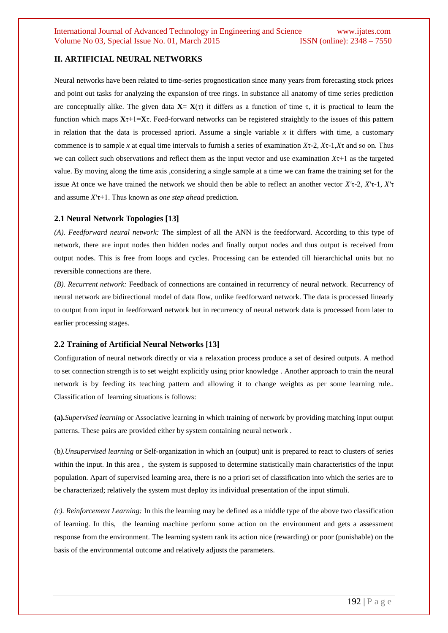## **II. ARTIFICIAL NEURAL NETWORKS**

Neural networks have been related to time-series prognostication since many years from forecasting stock prices and point out tasks for analyzing the expansion of tree rings. In substance all anatomy of time series prediction are conceptually alike. The given data  $X = X(\tau)$  it differs as a function of time  $\tau$ , it is practical to learn the function which maps **X**τ+1=**X**τ. Feed-forward networks can be registered straightly to the issues of this pattern in relation that the data is processed apriori. Assume a single variable *x* it differs with time, a customary commence is to sample *x* at equal time intervals to furnish a series of examination *X*τ-2, *X*τ-1,*X*τ and so on. Thus we can collect such observations and reflect them as the input vector and use examination  $X\tau$ +1 as the targeted value. By moving along the time axis ,considering a single sample at a time we can frame the training set for the issue At once we have trained the network we should then be able to reflect an another vector *X'*τ-2, *X'*τ-1, *X'*τ and assume *X'*τ+1. Thus known as *one step ahead* prediction.

#### **2.1 Neural Network Topologies [13]**

*(A). Feedforward neural network:* The simplest of all the ANN is the feedforward. According to this type of network, there are input nodes then hidden nodes and finally output nodes and thus output is received from output nodes. This is free from loops and cycles. Processing can be extended till hierarchichal units but no reversible connections are there.

*(B). Recurrent network:* Feedback of connections are contained in recurrency of neural network. Recurrency of neural network are bidirectional model of data flow, unlike feedforward network. The data is processed linearly to output from input in feedforward network but in recurrency of neural network data is processed from later to earlier processing stages.

### **2.2 Training of Artificial Neural Networks [13]**

Configuration of neural network directly or via a relaxation process produce a set of desired outputs. A method to set connection strength is to set weight explicitly using prior knowledge . Another approach to train the neural network is by feeding its teaching pattern and allowing it to change weights as per some learning rule.. Classification of learning situations is follows:

**(a).***Supervised learning* or Associative learning in which training of network by providing matching input output patterns. These pairs are provided either by system containing neural network .

(b*).Unsupervised learning* or Self-organization in which an (output) unit is prepared to react to clusters of series within the input. In this area, the system is supposed to determine statistically main characteristics of the input population. Apart of supervised learning area, there is no a priori set of classification into which the series are to be characterized; relatively the system must deploy its individual presentation of the input stimuli.

*(c). Reinforcement Learning:* In this the learning may be defined as a middle type of the above two classification of learning. In this, the learning machine perform some action on the environment and gets a assessment response from the environment. The learning system rank its action nice (rewarding) or poor (punishable) on the basis of the environmental outcome and relatively adjusts the parameters.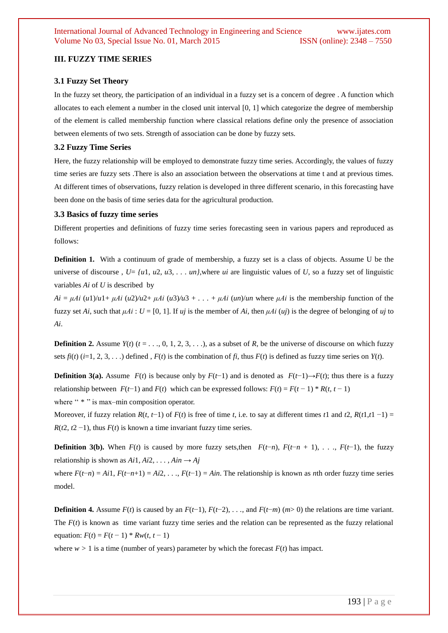#### **III. FUZZY TIME SERIES**

#### **3.1 Fuzzy Set Theory**

In the fuzzy set theory, the participation of an individual in a fuzzy set is a concern of degree . A function which allocates to each element a number in the closed unit interval [0, 1] which categorize the degree of membership of the element is called membership function where classical relations define only the presence of association between elements of two sets. Strength of association can be done by fuzzy sets.

#### **3.2 Fuzzy Time Series**

Here, the fuzzy relationship will be employed to demonstrate fuzzy time series. Accordingly, the values of fuzzy time series are fuzzy sets .There is also an association between the observations at time t and at previous times. At different times of observations, fuzzy relation is developed in three different scenario, in this forecasting have been done on the basis of time series data for the agricultural production.

#### **3.3 Basics of fuzzy time series**

Different properties and definitions of fuzzy time series forecasting seen in various papers and reproduced as follows:

**Definition 1.** With a continuum of grade of membership, a fuzzy set is a class of objects. Assume U be the universe of discourse,  $U = \{u1, u2, u3, \ldots, un\}$ , where *ui* are linguistic values of *U*, so a fuzzy set of linguistic variables *Ai* of *U* is described by

 $Ai = \mu Ai$  (*u*1)/*u*1+  $\mu Ai$  (*u*2)/*u*2+  $\mu Ai$  (*u*3)/*u*3 +  $\dots$  +  $\mu Ai$  (*un*)/*un* where  $\mu Ai$  is the membership function of the fuzzy set *Ai*, such that  $\mu A i$ :  $U = [0, 1]$ . If  $\mu j$  is the member of *Ai*, then  $\mu A i$  ( $\mu j$ ) is the degree of belonging of  $\mu j$  to *Ai*.

**Definition 2.** Assume  $Y(t)$  ( $t = \ldots, 0, 1, 2, 3, \ldots$ ), as a subset of *R*, be the universe of discourse on which fuzzy sets  $f_i(t)$  ( $i=1, 2, 3, \ldots$ ) defined ,  $F(t)$  is the combination of  $f_i$ , thus  $F(t)$  is defined as fuzzy time series on  $Y(t)$ .

**Definition 3(a).** Assume  $F(t)$  is because only by  $F(t-1)$  and is denoted as  $F(t-1) \rightarrow F(t)$ ; thus there is a fuzzy relationship between  $F(t-1)$  and  $F(t)$  which can be expressed follows:  $F(t) = F(t-1) * R(t, t-1)$ where " \* " is max–min composition operator.

Moreover, if fuzzy relation  $R(t, t-1)$  of  $F(t)$  is free of time *t*, i.e. to say at different times *t*1 and *t*2,  $R(t, t, t-1) =$ *R*( $t2$ ,  $t2 -1$ ), thus  $F(t)$  is known a time invariant fuzzy time series.

**Definition 3(b).** When  $F(t)$  is caused by more fuzzy sets,then  $F(t-n)$ ,  $F(t-n+1)$ , . . .,  $F(t-1)$ , the fuzzy relationship is shown as  $Ai1, Ai2, \ldots, Ain \rightarrow Aj$ 

where  $F(t-n) = Ai1$ ,  $F(t-n+1) = Ai2$ ,  $\ldots$ ,  $F(t-1) = A$ *in*. The relationship is known as *n*th order fuzzy time series model.

**Definition 4.** Assume  $F(t)$  is caused by an  $F(t-1)$ ,  $F(t-2)$ , ..., and  $F(t-m)$  ( $m>0$ ) the relations are time variant. The  $F(t)$  is known as time variant fuzzy time series and the relation can be represented as the fuzzy relational equation:  $F(t) = F(t-1) * Rw(t, t-1)$ 

where  $w > 1$  is a time (number of years) parameter by which the forecast  $F(t)$  has impact.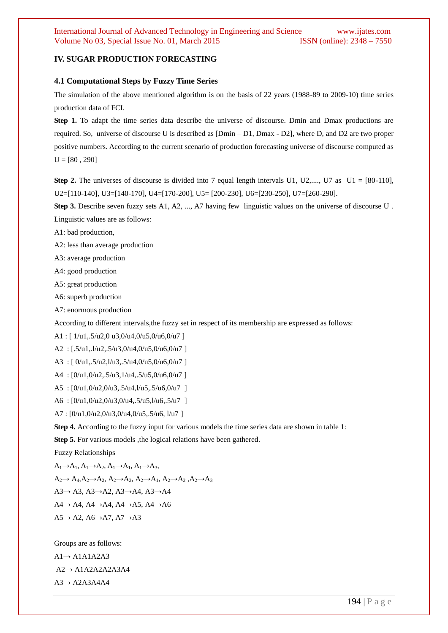## **IV. SUGAR PRODUCTION FORECASTING**

#### **4.1 Computational Steps by Fuzzy Time Series**

The simulation of the above mentioned algorithm is on the basis of 22 years (1988-89 to 2009-10) time series production data of FCI.

Step 1. To adapt the time series data describe the universe of discourse. Dmin and Dmax productions are required. So, universe of discourse U is described as [Dmin – D1, Dmax - D2], where D, and D2 are two proper positive numbers. According to the current scenario of production forecasting universe of discourse computed as  $U = [80, 290]$ 

**Step 2.** The universes of discourse is divided into 7 equal length intervals U1, U2,..., U7 as  $U1 = [80-110]$ , U2=[110-140], U3=[140-170], U4=[170-200], U5= [200-230], U6=[230-250], U7=[260-290].

**Step 3.** Describe seven fuzzy sets A1, A2, ..., A7 having few linguistic values on the universe of discourse U. Linguistic values are as follows:

A1: bad production,

A2: less than average production

A3: average production

A4: good production

A5: great production

A6: superb production

A7: enormous production

According to different intervals,the fuzzy set in respect of its membership are expressed as follows:

A1 : [  $1/u1, .5/u2, 0 u3, 0/u4, 0/u5, 0/u6, 0/u7$  ]

A2 : [.5/u1,.l/u2,.5/u3,0/u4,0/u5,0/u6,0/u7 ]

A3 : [ 0/u1,.5/u2,l/u3,.5/u4,0/u5,0/u6,0/u7 ]

A4 : [0/u1,0/u2,.5/u3,1/u4,.5/u5,0/u6,0/u7 ]

A5 : [0/u1,0/u2,0/u3,.5/u4,l/u5,.5/u6,0/u7 ]

A6 : [0/u1,0/u2,0/u3,0/u4,.5/u5,l/u6,.5/u7 ]

A7 : [0/u1,0/u2,0/u3,0/u4,0/u5,.5/u6, l/u7 ]

**Step 4.** According to the fuzzy input for various models the time series data are shown in table 1:

**Step 5.** For various models , the logical relations have been gathered.

Fuzzy Relationships

 $A_1 \rightarrow A_1, A_1 \rightarrow A_2, A_1 \rightarrow A_1, A_1 \rightarrow A_3,$  $A_2 \rightarrow A_4, A_2 \rightarrow A_2, A_2 \rightarrow A_2, A_2 \rightarrow A_1, A_2 \rightarrow A_2, A_2 \rightarrow A_3$ A3→ A3, A3→A2, A3→A4, A3→A4 A4→ A4, A4→A4, A4→A5, A4→A6  $A5 \rightarrow A2$ ,  $A6 \rightarrow A7$ ,  $A7 \rightarrow A3$ 

Groups are as follows:  $A1 \rightarrow A1A1A2A3$ A2→ A1A2A2A2A3A4  $A3 \rightarrow A2A3A4A4$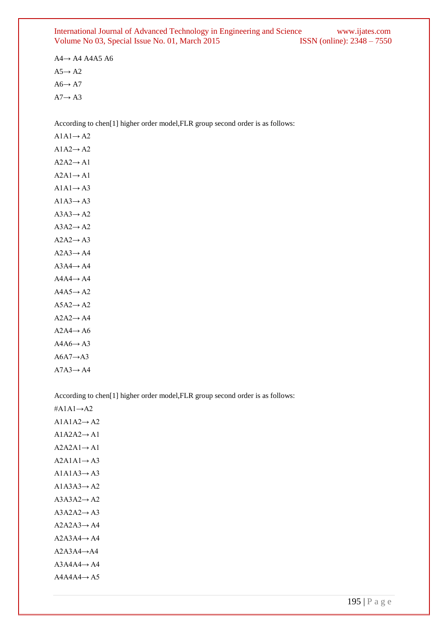#### International Journal of Advanced Technology in Engineering and Science www.ijates.com Volume No 03, Special Issue No. 01, March 2015 ISSN (online): 2348 - 7550

A4→ A4 A4A5 A6  $A5 \rightarrow A2$  $A6 \rightarrow A7$  $A7 \rightarrow A3$ 

According to chen[1] higher order model,FLR group second order is as follows:

 $A1A1 \rightarrow A2$  $A1A2 \rightarrow A2$  $A2A2 \rightarrow A1$  $A2A1 \rightarrow A1$  $A1A1 \rightarrow A3$  $A1A3 \rightarrow A3$  $A3A3 \rightarrow A2$  $A3A2 \rightarrow A2$  $A2A2 \rightarrow A3$  $A2A3 \rightarrow A4$  $A3A4 \rightarrow A4$  $A4A4 \rightarrow A4$  $A4A5 \rightarrow A2$  $A5A2 \rightarrow A2$  $A2A2 \rightarrow A4$  $A2A4 \rightarrow A6$  $A4A6 \rightarrow A3$  $A6A7 \rightarrow A3$  $A7A3 \rightarrow A4$ 

According to chen[1] higher order model,FLR group second order is as follows:

 $#A1A1 \rightarrow A2$ 

 $A1A1A2 \rightarrow A2$  $A1A2A2 \rightarrow A1$  $A2A2A1 \rightarrow A1$  $A2A1A1 \rightarrow A3$  $A1A1A3 \rightarrow A3$  $A1A3A3 \rightarrow A2$  $A3A3A2 \rightarrow A2$  $A3A2A2 \rightarrow A3$  $A2A2A3 \rightarrow A4$  $A2A3A4 \rightarrow A4$  $A2A3A4 \rightarrow A4$  $A3A4A4 \rightarrow A4$  $A4A4A4 \rightarrow A5$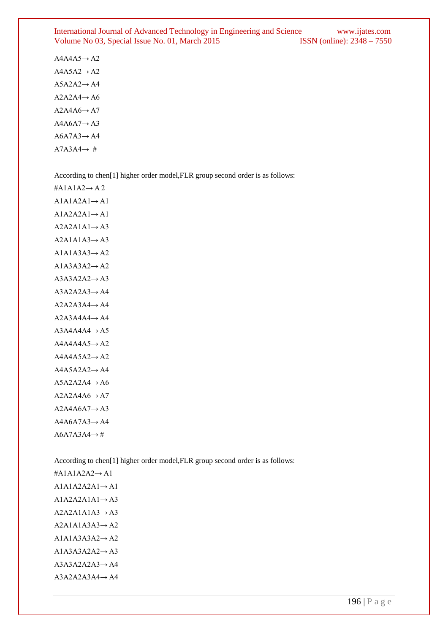#### International Journal of Advanced Technology in Engineering and Science www.ijates.com Volume No 03, Special Issue No. 01, March 2015 ISSN (online): 2348 - 7550

 $A4A4A5 \rightarrow A2$  $A4A5A2 \rightarrow A2$  $A5A2A2 \rightarrow A4$  $A2A2A4 \rightarrow A6$  $A2A4A6 \rightarrow A7$  $A4A6A7 \rightarrow A3$  $A6A7A3 \rightarrow A4$  $A7A3A4 \rightarrow #$ 

According to chen[1] higher order model,FLR group second order is as follows:

#A1A1A2→ A 2  $A1A1A2A1 \rightarrow A1$  $A1A2A2A1 \rightarrow A1$  $A2A2A1A1 \rightarrow A3$  $A2A1A1A3 \rightarrow A3$  $A1A1A3A3 \rightarrow A2$  $A1A3A3A2 \rightarrow A2$  $A3A3A2A2 \rightarrow A3$  $A3A2A2A3 \rightarrow A4$  $A2A2A3A4 \rightarrow A4$  $A2A3A4A4 \rightarrow A4$  $A3A4A4A4 \rightarrow A5$  $A4A4A4A5 \rightarrow A2$  $A4A4A5A2 \rightarrow A2$  $A4A5A2A2 \rightarrow A4$  $A5A2A2A4 \rightarrow A6$  $A2A2A4A6 \rightarrow A7$  $A2A4A6A7 \rightarrow A3$  $A4A6A7A3 \rightarrow A4$  $A6A7A3A4 \rightarrow #$ 

According to chen[1] higher order model,FLR group second order is as follows:

#A1A1A2A2→ A1  $A1A1A2A2A1 \rightarrow A1$  $A1A2A2A1A1 \rightarrow A3$  $A2A2A1A1A3 \rightarrow A3$  $A2A1A1A3A3 \rightarrow A2$  $A1A1A3A3A2 \rightarrow A2$  $A1A3A3A2A2 \rightarrow A3$  $A3A3A2A2A3 \rightarrow A4$ A3A2A2A3A4→ A4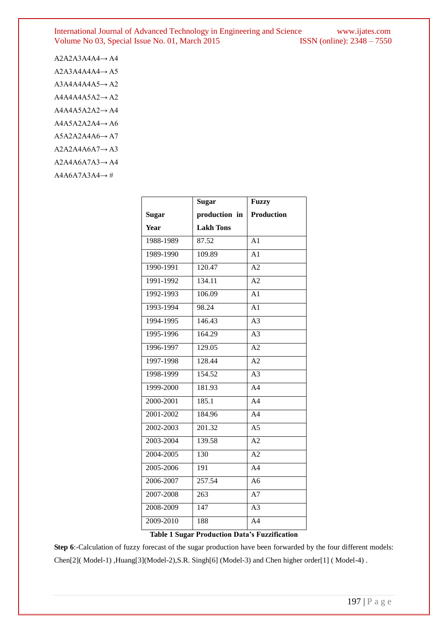#### International Journal of Advanced Technology in Engineering and Science www.ijates.com Volume No 03, Special Issue No. 01, March 2015 ISSN (online): 2348 – 7550 Volume No 03, Special Issue No. 01, March 2015

| $A2A2A3A4A4 \rightarrow A4$ |
|-----------------------------|
| $A2A3A4A4A4 \rightarrow A5$ |
| $A3A4A4A4A5 \rightarrow A2$ |
| $A4A4A4A5A2 \rightarrow A2$ |
| $A4A4A5A2A2 \rightarrow A4$ |
| $A4A5A2A2A4 \rightarrow A6$ |
| $A5A2A2A4A6 \rightarrow A7$ |
| $A2A2A4A6A7 \rightarrow A3$ |
| $A2A4A6A7A3 \rightarrow A4$ |
| $A4A6A7A3A4 \rightarrow \#$ |

| <b>Sugar</b>     | <b>Fuzzy</b>      |
|------------------|-------------------|
| production in    | <b>Production</b> |
| <b>Lakh Tons</b> |                   |
| 87.52            | A1                |
| 109.89           | A <sub>1</sub>    |
| 120.47           | A2                |
| 134.11           | A2                |
| 106.09           | $\overline{A1}$   |
| 98.24            | A <sub>1</sub>    |
| 146.43           | $\overline{A3}$   |
| 164.29           | A <sub>3</sub>    |
| 129.05           | A2                |
| 128.44           | $\overline{A2}$   |
| 154.52           | A <sub>3</sub>    |
| 181.93           | A <sub>4</sub>    |
| 185.1            | A <sub>4</sub>    |
| 184.96           | A <sub>4</sub>    |
| 201.32           | A <sub>5</sub>    |
| 139.58           | $\overline{A2}$   |
| 130              | A2                |
| 191              | A <sub>4</sub>    |
| 257.54           | A <sub>6</sub>    |
| 263              | $A\overline{7}$   |
| $\overline{147}$ | $\overline{A3}$   |
| 188              | A <sub>4</sub>    |
|                  |                   |

**Table 1 Sugar Production Data's Fuzzification**

**Step 6**:-Calculation of fuzzy forecast of the sugar production have been forwarded by the four different models: Chen[2]( Model-1) ,Huang[3](Model-2),S.R. Singh[6] (Model-3) and Chen higher order[1] ( Model-4) .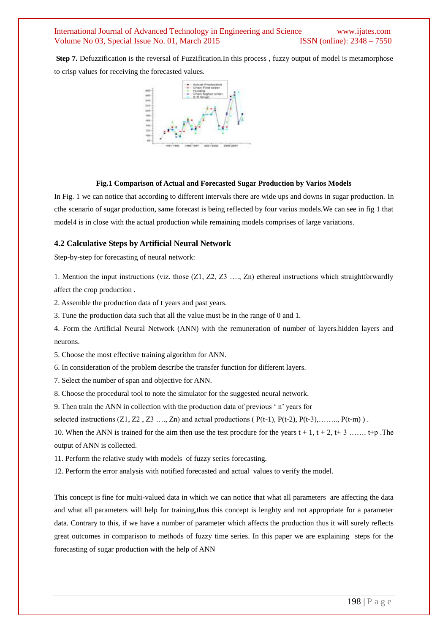#### International Journal of Advanced Technology in Engineering and Science www.ijates.com Volume No 03, Special Issue No. 01, March 2015 **ISSN** (online): 2348 – 7550

**Step 7.** Defuzzification is the reversal of Fuzzification.In this process , fuzzy output of model is metamorphose to crisp values for receiving the forecasted values.



#### **Fig.1 Comparison of Actual and Forecasted Sugar Production by Varios Models**

In Fig. 1 we can notice that according to different intervals there are wide ups and downs in sugar production. In cthe scenario of sugar production, same forecast is being reflected by four varius models.We can see in fig 1 that model4 is in close with the actual production while remaining models comprises of large variations.

#### **4.2 Calculative Steps by Artificial Neural Network**

Step-by-step for forecasting of neural network:

1. Mention the input instructions (viz. those (Z1, Z2, Z3 …., Zn) ethereal instructions which straightforwardly affect the crop production .

2. Assemble the production data of t years and past years.

3. Tune the production data such that all the value must be in the range of 0 and 1.

4. Form the Artificial Neural Network (ANN) with the remuneration of number of layers.hidden layers and neurons.

5. Choose the most effective training algorithm for ANN.

6. In consideration of the problem describe the transfer function for different layers.

7. Select the number of span and objective for ANN.

8. Choose the procedural tool to note the simulator for the suggested neural network.

9. Then train the ANN in collection with the production data of previous " n" years for

selected instructions  $(Z1, Z2, Z3, \ldots, Zn)$  and actual productions ( $P(t-1), P(t-2), P(t-3), \ldots, P(t-m)$ ).

10. When the ANN is trained for the aim then use the test procdure for the years  $t + 1$ ,  $t + 2$ ,  $t + 3$  ……. t+p .The output of ANN is collected.

11. Perform the relative study with models of fuzzy series forecasting.

12. Perform the error analysis with notified forecasted and actual values to verify the model.

This concept is fine for multi-valued data in which we can notice that what all parameters are affecting the data and what all parameters will help for training,thus this concept is lenghty and not appropriate for a parameter data. Contrary to this, if we have a number of parameter which affects the production thus it will surely reflects great outcomes in comparison to methods of fuzzy time series. In this paper we are explaining steps for the forecasting of sugar production with the help of ANN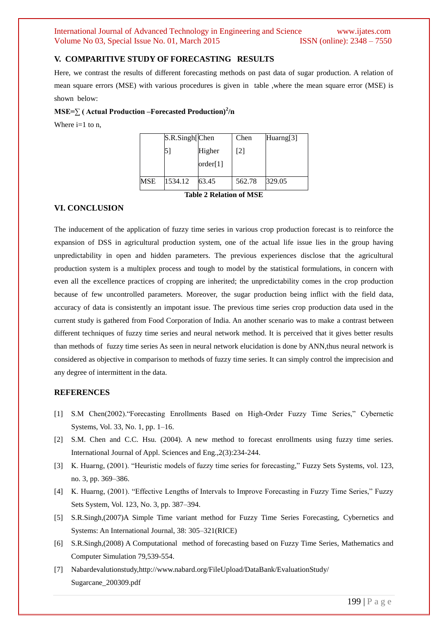#### International Journal of Advanced Technology in Engineering and Science www.ijates.com Volume No 03, Special Issue No. 01, March 2015 **ISSN** (online): 2348 – 7550

#### **V. COMPARITIVE STUDY OF FORECASTING RESULTS**

Here, we contrast the results of different forecasting methods on past data of sugar production. A relation of mean square errors (MSE) with various procedures is given in table ,where the mean square error (MSE) is shown below:

#### **MSE=∑ ( Actual Production –Forecasted Production)<sup>2</sup> /n**

Where  $i=1$  to n.

|     | S.R.Singh[Chen |          | Chen              | Huarng[3] |
|-----|----------------|----------|-------------------|-----------|
|     | 5              | Higher   | $\lceil 2 \rceil$ |           |
|     |                | order[1] |                   |           |
| MSE | 1534.12        | 63.45    | 562.78            | 329.05    |

**Table 2 Relation of MSE**

### **VI. CONCLUSION**

The inducement of the application of fuzzy time series in various crop production forecast is to reinforce the expansion of DSS in agricultural production system, one of the actual life issue lies in the group having unpredictability in open and hidden parameters. The previous experiences disclose that the agricultural production system is a multiplex process and tough to model by the statistical formulations, in concern with even all the excellence practices of cropping are inherited; the unpredictability comes in the crop production because of few uncontrolled parameters. Moreover, the sugar production being inflict with the field data, accuracy of data is consistently an impotant issue. The previous time series crop production data used in the current study is gathered from Food Corporation of India. An another scenario was to make a contrast between different techniques of fuzzy time series and neural network method. It is perceived that it gives better results than methods of fuzzy time series As seen in neural network elucidation is done by ANN,thus neural network is considered as objective in comparison to methods of fuzzy time series. It can simply control the imprecision and any degree of intermittent in the data.

#### **REFERENCES**

- [1] S.M Chen(2002)."Forecasting Enrollments Based on High-Order Fuzzy Time Series," Cybernetic Systems, Vol. 33, No. 1, pp. 1–16.
- [2] S.M. Chen and C.C. Hsu. (2004). A new method to forecast enrollments using fuzzy time series. International Journal of Appl. Sciences and Eng.,2(3):234-244.
- [3] K. Huarng, (2001). "Heuristic models of fuzzy time series for forecasting," Fuzzy Sets Systems, vol. 123, no. 3, pp. 369–386.
- [4] K. Huarng, (2001). "Effective Lengths of Intervals to Improve Forecasting in Fuzzy Time Series," Fuzzy Sets System, Vol. 123, No. 3, pp. 387–394.
- [5] S.R.Singh,(2007)A Simple Time variant method for Fuzzy Time Series Forecasting, Cybernetics and Systems: An International Journal, 38: 305–321(RICE)
- [6] S.R.Singh,(2008) A Computational method of forecasting based on Fuzzy Time Series, Mathematics and Computer Simulation 79,539-554.
- [7] Nabardevalutionstudy,http://www.nabard.org/FileUpload/DataBank/EvaluationStudy/ Sugarcane\_200309.pdf